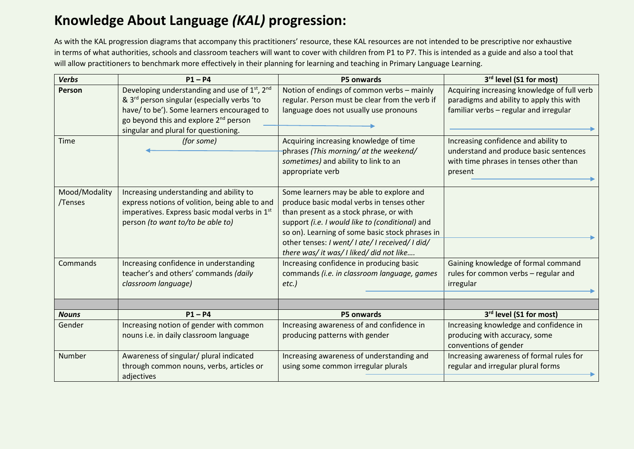## **Knowledge About Language** *(KAL)* **progression:**

As with the KAL progression diagrams that accompany this practitioners' resource, these KAL resources are not intended to be prescriptive nor exhaustive in terms of what authorities, schools and classroom teachers will want to cover with children from P1 to P7. This is intended as a guide and also a tool that will allow practitioners to benchmark more effectively in their planning for learning and teaching in Primary Language Learning.

| <b>Verbs</b>             | $P1 - P4$                                                                                                                                                                                                                                                                                 | P5 onwards                                                                                                                                                                                                                                                                                                                            | 3rd level (S1 for most)                                                                                                                                                                                                                                                  |
|--------------------------|-------------------------------------------------------------------------------------------------------------------------------------------------------------------------------------------------------------------------------------------------------------------------------------------|---------------------------------------------------------------------------------------------------------------------------------------------------------------------------------------------------------------------------------------------------------------------------------------------------------------------------------------|--------------------------------------------------------------------------------------------------------------------------------------------------------------------------------------------------------------------------------------------------------------------------|
| Person<br><b>Time</b>    | Developing understanding and use of 1 <sup>st</sup> , 2 <sup>nd</sup><br>& 3 <sup>rd</sup> person singular (especially verbs 'to<br>have/ to be'). Some learners encouraged to<br>go beyond this and explore 2 <sup>nd</sup> person<br>singular and plural for questioning.<br>(for some) | Notion of endings of common verbs - mainly<br>regular. Person must be clear from the verb if<br>language does not usually use pronouns<br>Acquiring increasing knowledge of time<br>phrases (This morning/ at the weekend/<br>sometimes) and ability to link to an<br>appropriate verb                                                | Acquiring increasing knowledge of full verb<br>paradigms and ability to apply this with<br>familiar verbs - regular and irregular<br>Increasing confidence and ability to<br>understand and produce basic sentences<br>with time phrases in tenses other than<br>present |
| Mood/Modality<br>/Tenses | Increasing understanding and ability to<br>express notions of volition, being able to and<br>imperatives. Express basic modal verbs in 1st<br>person (to want to/to be able to)                                                                                                           | Some learners may be able to explore and<br>produce basic modal verbs in tenses other<br>than present as a stock phrase, or with<br>support (i.e. I would like to (conditional) and<br>so on). Learning of some basic stock phrases in<br>other tenses: I went/ I ate/ I received/ I did/<br>there was/ it was/ I liked/ did not like |                                                                                                                                                                                                                                                                          |
| Commands                 | Increasing confidence in understanding<br>teacher's and others' commands (daily<br>classroom language)                                                                                                                                                                                    | Increasing confidence in producing basic<br>commands (i.e. in classroom language, games<br>$etc.$ )                                                                                                                                                                                                                                   | Gaining knowledge of formal command<br>rules for common verbs - regular and<br>irregular                                                                                                                                                                                 |
| <b>Nouns</b>             | $P1 - P4$                                                                                                                                                                                                                                                                                 | P5 onwards                                                                                                                                                                                                                                                                                                                            | 3 <sup>rd</sup> level (S1 for most)                                                                                                                                                                                                                                      |
| Gender                   | Increasing notion of gender with common<br>nouns i.e. in daily classroom language                                                                                                                                                                                                         | Increasing awareness of and confidence in<br>producing patterns with gender                                                                                                                                                                                                                                                           | Increasing knowledge and confidence in<br>producing with accuracy, some<br>conventions of gender                                                                                                                                                                         |
| Number                   | Awareness of singular/ plural indicated<br>through common nouns, verbs, articles or<br>adjectives                                                                                                                                                                                         | Increasing awareness of understanding and<br>using some common irregular plurals                                                                                                                                                                                                                                                      | Increasing awareness of formal rules for<br>regular and irregular plural forms                                                                                                                                                                                           |